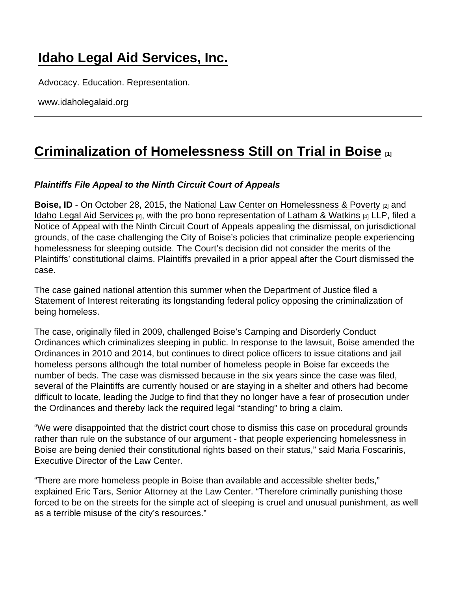## [Idaho Legal Aid Services, Inc.](https://www.idaholegalaid.org/)

Advocacy. Education. Representation.

www.idaholegalaid.org

## [Criminalization of Homelessness Still on Trial in Boise](https://www.idaholegalaid.org/node/2497/criminalization-homelessness-still-trial-boise)  $\frac{1}{11}$

Plaintiffs File Appeal to the Ninth Circuit Court of Appeals

Boise, ID - On October 28, 2015, the [National Law Center on Homelessness & Poverty](http://nlchp.org) [2] and [Idaho Legal Aid Services](http://www.idaholegalaid.org/) [3], with the pro bono representation of [Latham & Watkins](http://lw.com/) [4] LLP, filed a Notice of Appeal with the Ninth Circuit Court of Appeals appealing the dismissal, on jurisdictional grounds, of the case challenging the City of Boise's policies that criminalize people experiencing homelessness for sleeping outside. The Court's decision did not consider the merits of the Plaintiffs' constitutional claims. Plaintiffs prevailed in a prior appeal after the Court dismissed the case.

The case gained national attention this summer when the Department of Justice filed a Statement of Interest reiterating its longstanding federal policy opposing the criminalization of being homeless.

The case, originally filed in 2009, challenged Boise's Camping and Disorderly Conduct Ordinances which criminalizes sleeping in public. In response to the lawsuit, Boise amended the Ordinances in 2010 and 2014, but continues to direct police officers to issue citations and jail homeless persons although the total number of homeless people in Boise far exceeds the number of beds. The case was dismissed because in the six years since the case was filed, several of the Plaintiffs are currently housed or are staying in a shelter and others had become difficult to locate, leading the Judge to find that they no longer have a fear of prosecution under the Ordinances and thereby lack the required legal "standing" to bring a claim.

"We were disappointed that the district court chose to dismiss this case on procedural grounds rather than rule on the substance of our argument - that people experiencing homelessness in Boise are being denied their constitutional rights based on their status," said Maria Foscarinis, Executive Director of the Law Center.

"There are more homeless people in Boise than available and accessible shelter beds," explained Eric Tars, Senior Attorney at the Law Center. "Therefore criminally punishing those forced to be on the streets for the simple act of sleeping is cruel and unusual punishment, as well as a terrible misuse of the city's resources."